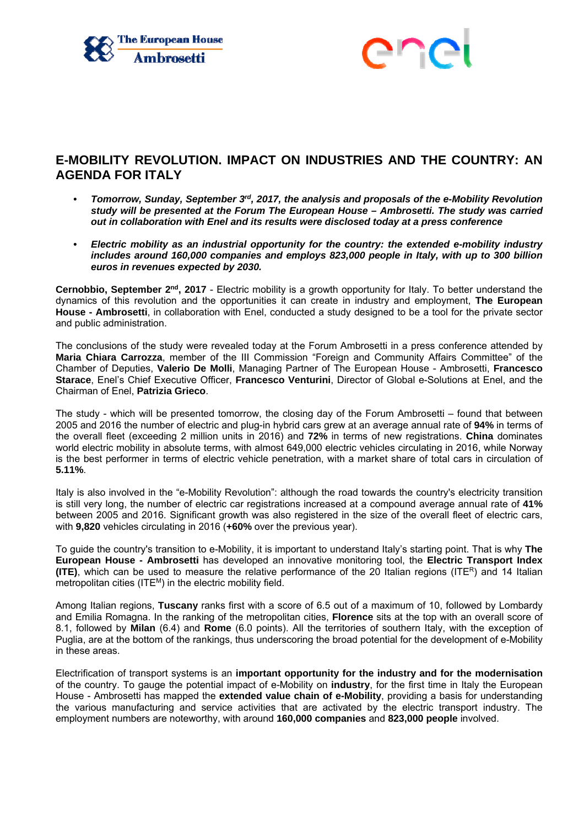



## **E-MOBILITY REVOLUTION. IMPACT ON INDUSTRIES AND THE COUNTRY: AN AGENDA FOR ITALY**

- *Tomorrow, Sunday, September 3rd, 2017, the analysis and proposals of the e-Mobility Revolution study will be presented at the Forum The European House – Ambrosetti. The study was carried out in collaboration with Enel and its results were disclosed today at a press conference*
- *Electric mobility as an industrial opportunity for the country: the extended e-mobility industry includes around 160,000 companies and employs 823,000 people in Italy, with up to 300 billion euros in revenues expected by 2030.*

**Cernobbio, September 2nd, 2017** - Electric mobility is a growth opportunity for Italy. To better understand the dynamics of this revolution and the opportunities it can create in industry and employment, **The European House - Ambrosetti**, in collaboration with Enel, conducted a study designed to be a tool for the private sector and public administration.

The conclusions of the study were revealed today at the Forum Ambrosetti in a press conference attended by **Maria Chiara Carrozza**, member of the III Commission "Foreign and Community Affairs Committee" of the Chamber of Deputies, **Valerio De Molli**, Managing Partner of The European House - Ambrosetti, **Francesco Starace**, Enel's Chief Executive Officer, **Francesco Venturini**, Director of Global e-Solutions at Enel, and the Chairman of Enel, **Patrizia Grieco**.

The study - which will be presented tomorrow, the closing day of the Forum Ambrosetti – found that between 2005 and 2016 the number of electric and plug-in hybrid cars grew at an average annual rate of **94%** in terms of the overall fleet (exceeding 2 million units in 2016) and **72%** in terms of new registrations. **China** dominates world electric mobility in absolute terms, with almost 649,000 electric vehicles circulating in 2016, while Norway is the best performer in terms of electric vehicle penetration, with a market share of total cars in circulation of **5.11%**.

Italy is also involved in the "e-Mobility Revolution": although the road towards the country's electricity transition is still very long, the number of electric car registrations increased at a compound average annual rate of **41%** between 2005 and 2016. Significant growth was also registered in the size of the overall fleet of electric cars, with **9,820** vehicles circulating in 2016 (**+60%** over the previous year).

To guide the country's transition to e-Mobility, it is important to understand Italy's starting point. That is why **The European House - Ambrosetti** has developed an innovative monitoring tool, the **Electric Transport Index (ITE)**, which can be used to measure the relative performance of the 20 Italian regions (ITER) and 14 Italian metropolitan cities (ITE<sup>M</sup>) in the electric mobility field.

Among Italian regions, **Tuscany** ranks first with a score of 6.5 out of a maximum of 10, followed by Lombardy and Emilia Romagna. In the ranking of the metropolitan cities, **Florence** sits at the top with an overall score of 8.1, followed by **Milan** (6.4) and **Rome** (6.0 points). All the territories of southern Italy, with the exception of Puglia, are at the bottom of the rankings, thus underscoring the broad potential for the development of e-Mobility in these areas.

Electrification of transport systems is an **important opportunity for the industry and for the modernisation** of the country. To gauge the potential impact of e-Mobility on **industry**, for the first time in Italy the European House - Ambrosetti has mapped the **extended value chain of e-Mobility**, providing a basis for understanding the various manufacturing and service activities that are activated by the electric transport industry. The employment numbers are noteworthy, with around **160,000 companies** and **823,000 people** involved.